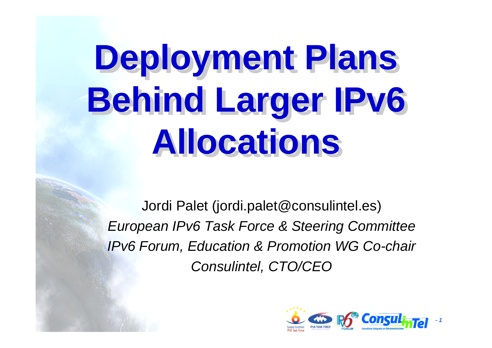# **Deployment Plans Deployment Plans Behind Larger IPv6 Behind Larger IPv6 Allocations Allocations**

Jordi Palet (jordi.palet@consulintel.es) *European IPv6 Task Force & Steering Committee IPv6 Forum, Education & Promotion WG Co-chair Consulintel, CTO/CEO*

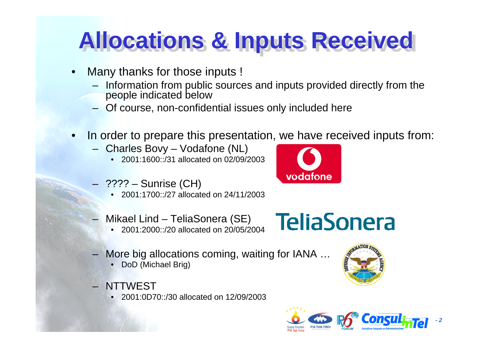#### **Allocations & Inputs Received Allocations & Inputs Received**

- $\bullet$ Many thanks for those inputs !
	- Information from public sources and inputs provided directly from the people indicated below
	- Of course, non-confidential issues only included here
- • In order to prepare this presentation, we have received inputs from:
	- Charles Bovy Vodafone (NL)
		- 2001:1600::/31 allocated on 02/09/2003
	- ???? Sunrise (CH)
		- 2001:1700::/27 allocated on 24/11/2003
	- Mikael Lind TeliaSonera (SE)
		- •2001:2000::/20 allocated on 20/05/2004
- **TeliaSonera**
- More big allocations coming, waiting for IANA …
	- DoD (Michael Brig)
- NTTWEST
	- •2001:0D70::/30 allocated on 12/09/2003





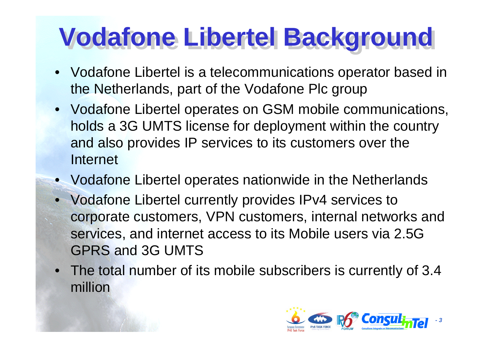# **Vodafone Libertel Background**

- Vodafone Libertel is a telecommunications operator based in the Netherlands, part of the Vodafone Plc group
- Vodafone Libertel operates on GSM mobile communications, holds a 3G UMTS license for deployment within the country and also provides IP services to its customers over the Internet
- $\bullet$ Vodafone Libertel operates nationwide in the Netherlands
- Vodafone Libertel currently provides IPv4 services to corporate customers, VPN customers, internal networks and services, and internet access to its Mobile users via 2.5G GPRS and 3G UMTS
- The total number of its mobile subscribers is currently of 3.4 million

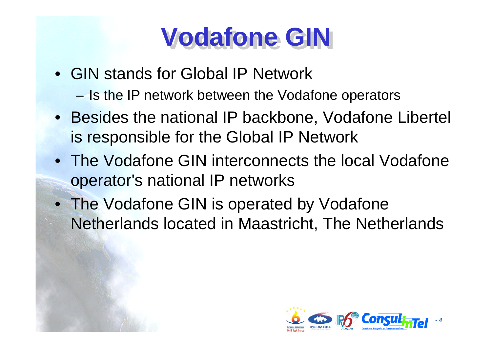#### **Vodafone GIN Vodafone GIN**

- •GIN stands for Global IP Network **Harry Committee** - Is the IP network between the Vodafone operators
- Besides the national IP backbone, Vodafone Libertel is responsible for the Global IP Network
- The Vodafone GIN interconnects the local Vodafone operator's national IP networks
- The Vodafone GIN is operated by Vodafone Netherlands located in Maastricht, The Netherlands

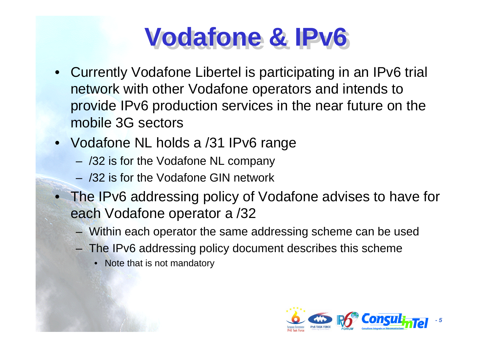#### **Vodafone & IPv6 Vodafone & IPv6**

- •Currently Vodafone Libertel is participating in an IPv6 trial network with other Vodafone operators and intends to provide IPv6 production services in the near future on the mobile 3G sectors
- Vodafone NL holds a /31 IPv6 range
	- /32 is for the Vodafone NL company
	- –/32 is for the Vodafone GIN network
- The IPv6 addressing policy of Vodafone advises to have for each Vodafone operator a /32
	- Within each operator the same addressing scheme can be used
	- The IPv6 addressing policy document describes this scheme
		- Note that is not mandatory

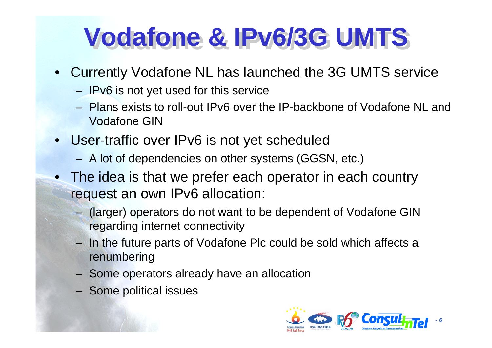#### **Vodafone & IPv6/3G UMTS Vodafone & IPv6/3G UMTS**

- Currently Vodafone NL has launched the 3G UMTS service
	- $-$  IPv6 is not yet used for this service
	- –Plans exists to roll-out IPv6 over the IP-backbone of Vodafone NL and Vodafone GIN
- User-traffic over IPv6 is not yet scheduled
	- A lot of dependencies on other systems (GGSN, etc.)
- The idea is that we prefer each operator in each country request an own IPv6 allocation:
	- (larger) operators do not want to be dependent of Vodafone GIN regarding internet connectivity
	- In the future parts of Vodafone Plc could be sold which affects a renumbering
	- Some operators already have an allocation
	- Some political issues

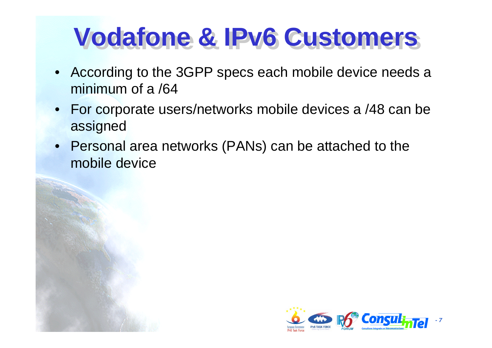#### **Vodafone & IPv6 Customers**

- $\bullet$ According to the 3GPP specs each mobile device needs a minimum of a /64
- $\bullet$ For corporate users/networks mobile devices a /48 can be assigned
- $\bullet$ Personal area networks (PANs) can be attached to the mobile device

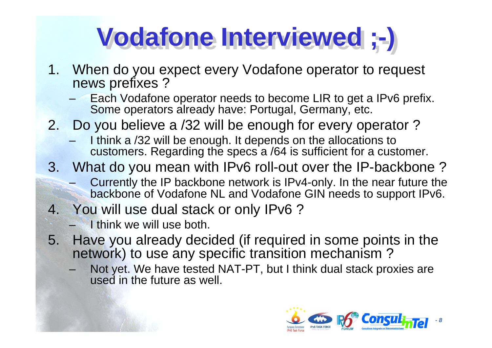# **Vodafone Interviewed ;-) Vodafone Interviewed ;-)**

- 1. When do you expect every Vodafone operator to request news prefixes ?
	- Each Vodafone operator needs to become LIR to get a IPv6 prefix. Some operators already have: Portugal, Germany, etc.
- 2. Do you believe a /32 will be enough for every operator ?
	- I think a /32 will be enough. It depends on the allocations to customers. Regarding the specs a /64 is sufficient for a customer.
- 3. What do you mean with IPv6 roll-out over the IP-backbone ?
	- Currently the IP backbone network is IPv4-only. In the near future the backbone of Vodafone NL and Vodafone GIN needs to support IPv6.
- 4. You will use dual stack or only IPv6 ?
	- I think we will use both.
- 5. Have you already decided (if required in some points in the network) to use any specific transition mechanism ?
	- Not yet. We have tested NAT-PT, but I think dual stack proxies are used in the future as well.

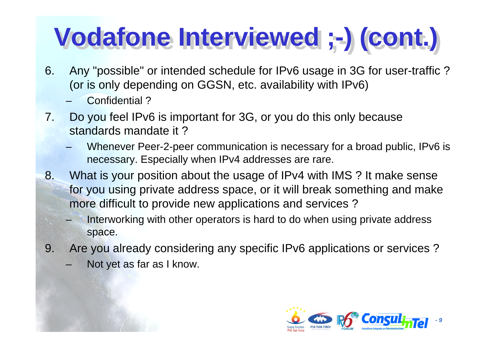# **Vodafone Interviewed ;-) (cont.) Vodafone Interviewed ;-) (cont.)**

- 6. Any "possible" or intended schedule for IPv6 usage in 3G for user-traffic ? (or is only depending on GGSN, etc. availability with IPv6)
	- Confidential ?
- 7. Do you feel IPv6 is important for 3G, or you do this only because standards mandate it ?
	- Whenever Peer-2-peer communication is necessary for a broad public, IPv6 is necessary. Especially when IPv4 addresses are rare.
- 8. What is your position about the usage of IPv4 with IMS ? It make sense for you using private address space, or it will break something and make more difficult to provide new applications and services ?
	- Interworking with other operators is hard to do when using private address space.
- 9. Are you already considering any specific IPv6 applic ations or services ?
	- Not yet as far as I know.

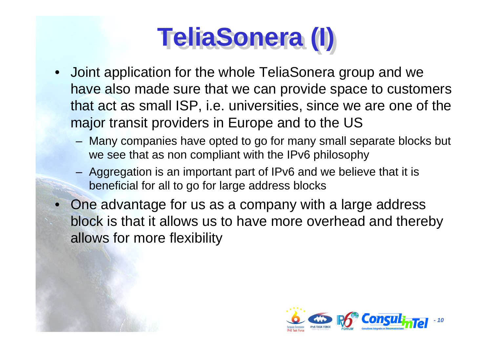# **TeliaSonera (I)**

- •Joint application for the whole TeliaSonera group and we have also made sure that we can provide space to customers that act as small ISP, i.e. universities, since we are one of the major transit providers in Europe and to the US
	- Many companies have opted to go for many small separate blocks but we see that as non compliant with the IPv6 philosophy
	- Aggregation is an important part of IPv6 and we believ e that it is beneficial for all to go for large address blocks
- •One advantage for us as a company with a large address block is that it allows us to have more overhead and thereby allows for more flexibility

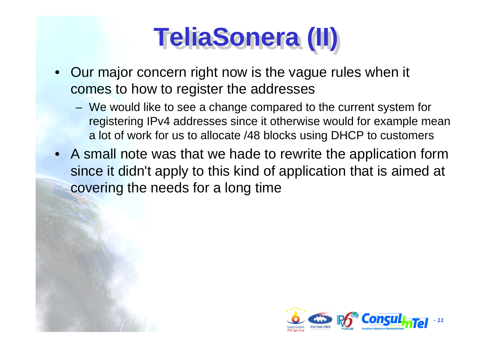# **TeliaSonera TeliaSonera (II) (II)**

- Our major concern right now is the vague rules when it comes to how to register the addresses
	- We would like to see a change compared to the current system for registering IPv4 addresses since it otherwis e would for example mean a lot of work for us to allocate /48 blocks using DHCP to customers
- A small note was that we hade to rewrite the application form since it didn't apply to this kind of application that is aimed at covering the needs for a long time

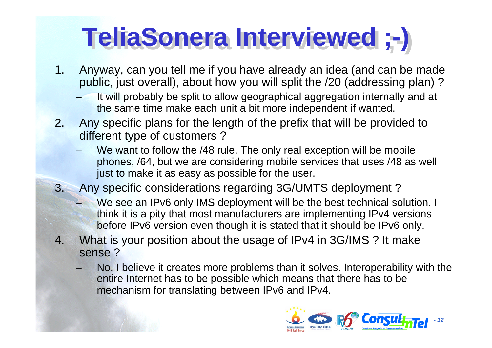# **TeliaSonera TeliaSonera Interviewed ;-) Interviewed ;-)**

- 1. Any way, can you tell me if you have already an idea (and can be made public, just overall), about how you will split the /20 (addressing plan) ?
	- It will probably be split to allow geographical aggregation internally and at the same time make each unit a bit more independent if wanted.
- 2.Any specific plans for the length of the prefix that will be provided to different type of customers ?
	- –We want to follow the /48 rule. The only real exception will be mobile phones, /64, but we are considering mobile services that uses /48 as well just to make it as easy as possible for the user.
- 3. Any specific considerations regarding 3G/UMTS deployment ?
	- We see an IPv6 only IMS deployment will be the best technical solution. I think it is a pity that most manufacturers are implementing IPv4 versions before IPv6 version even though it is stated that it should be IPv6 only.
- 4. What is your position about the usage of IPv4 in 3G/IMS ? It make sense ?
	- No. I believe it creates more problems than it solves. Interoperability with the entire Internet has to be possible which means that there has to be mechanism for translating between IPv6 and IPv4.

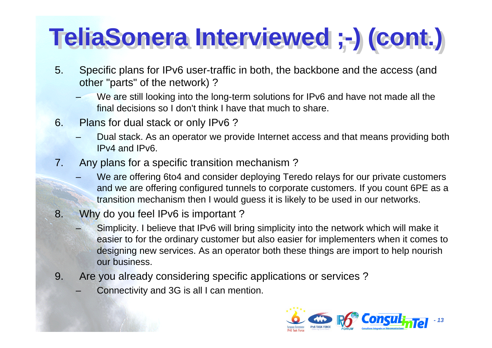# **TeliaSonera TeliaSonera IInterviewed ;-) (cont.) nterviewed ;-) (cont.)**

- 5. Specific plans for IPv6 user-traffic in both, the backbone and the access (and other "parts" of the network) ?
	- We are still looking into the long-term solutions for IPv6 and have not made all the final decisions so I don't think I have that much to share.
- 6. Plans for dual stack or only IPv6 ?
	- Dual stack. As an operator we provide Internet access and that means providing both IPv4 and IPv6.
- 7. Any plans for a specific transition mechanism ?
	- We are offering 6to4 and consider deploying Teredo relays for our private customers and we are offering configured tunnels to corporate customer s. If you count 6PE as a transition mechanism then I would guess it is likely to be used in our networks.
- 8. Why do you feel IPv6 is important ?
	- Simplicity. I believe that IPv6 will bring simplicity into the network which will make it easier to for the ordinary customer but also easier for implementers when it comes to designing new services. As an operator both these things are import to help nourish our business.
- 9. Are you already considering specific applications or services ?
	- Connectivity and 3G is all I can mention.

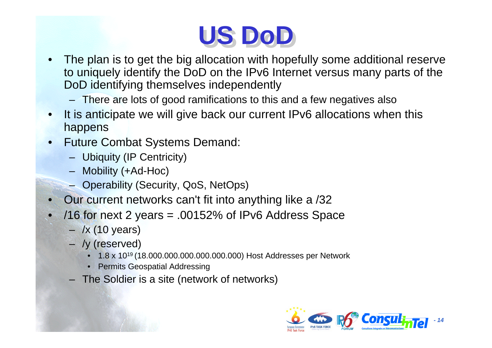

- • The plan is to get the big allocation with hopefully some additional reserve to uniquely identify the DoD on the IPv6 Internet versus many parts of the DoD identifying themselves independently
	- There are lots of good ramifications to this and a few negatives also
- • It is anticipate we will give back our current IPv6 allocations when this happens
- • Future Combat Systems Demand:
	- Ubiquity (IP Centricity)
	- Mobility (+Ad-Hoc)
	- Operability (Security, QoS, NetOps)
- •Our current networks can't fit into anything like a /32
- • /16 for next 2 years = .00152% of IPv6 Address Space
	- /x (10 years)
	- /y (reserved)
		- 1.8 x 1019 (18.000.000.000.000.000.000) Host Addresses per Network
		- Permits Geospatial Addressing
	- The Soldier is a site (network of networks)